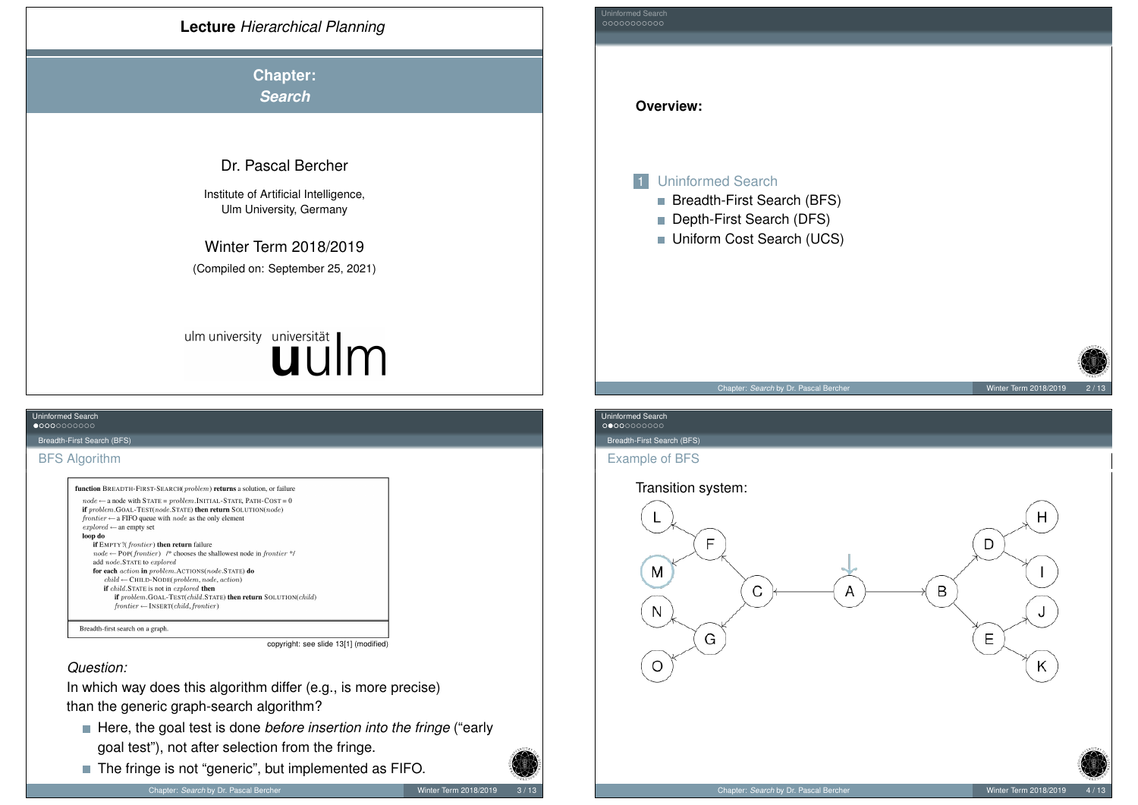<span id="page-0-0"></span>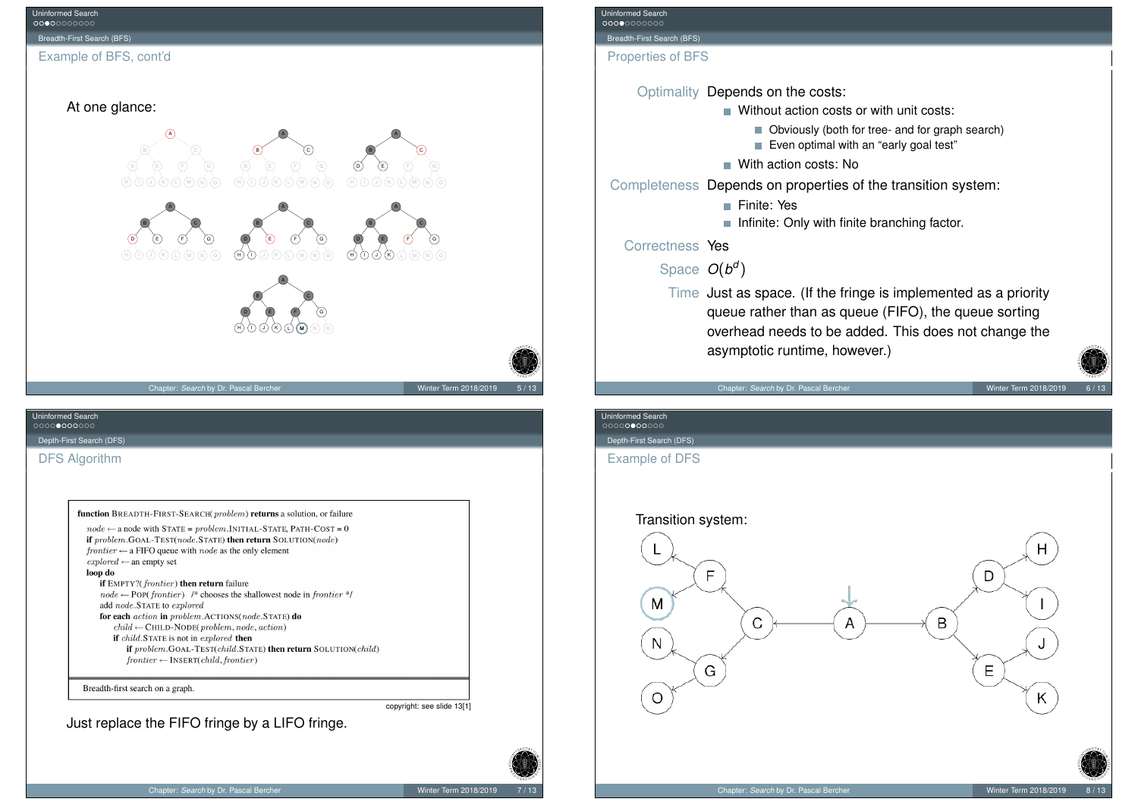<span id="page-1-0"></span>

| <b>Uninformed Search</b><br>00000000000 |                                                                                                                                                                                                                  |                    |
|-----------------------------------------|------------------------------------------------------------------------------------------------------------------------------------------------------------------------------------------------------------------|--------------------|
| Breadth-First Search (BFS)              |                                                                                                                                                                                                                  |                    |
| <b>Properties of BFS</b>                |                                                                                                                                                                                                                  |                    |
|                                         | Optimality Depends on the costs:                                                                                                                                                                                 |                    |
|                                         | Without action costs or with unit costs:                                                                                                                                                                         |                    |
|                                         | Obviously (both for tree- and for graph search)<br>Even optimal with an "early goal test"                                                                                                                        |                    |
|                                         | $\blacksquare$ With action costs: No                                                                                                                                                                             |                    |
|                                         | Completeness Depends on properties of the transition system:                                                                                                                                                     |                    |
|                                         | <b>■ Finite: Yes</b>                                                                                                                                                                                             |                    |
|                                         | Infinite: Only with finite branching factor.                                                                                                                                                                     |                    |
| Correctness Yes                         |                                                                                                                                                                                                                  |                    |
| Space $O(b^d)$                          |                                                                                                                                                                                                                  |                    |
|                                         | Time Just as space. (If the fringe is implemented as a priority<br>queue rather than as queue (FIFO), the queue sorting<br>overhead needs to be added. This does not change the<br>asymptotic runtime, however.) |                    |
|                                         | Chapter: Search by Dr. Pascal Bercher                                                                                                                                                                            | Winter Term 2018/2 |

Winter Term 2018/2019 6 / 13

Uninformed Search<br>0000000000

Depth-First Search (DFS)

Example of DFS

## Transition system:

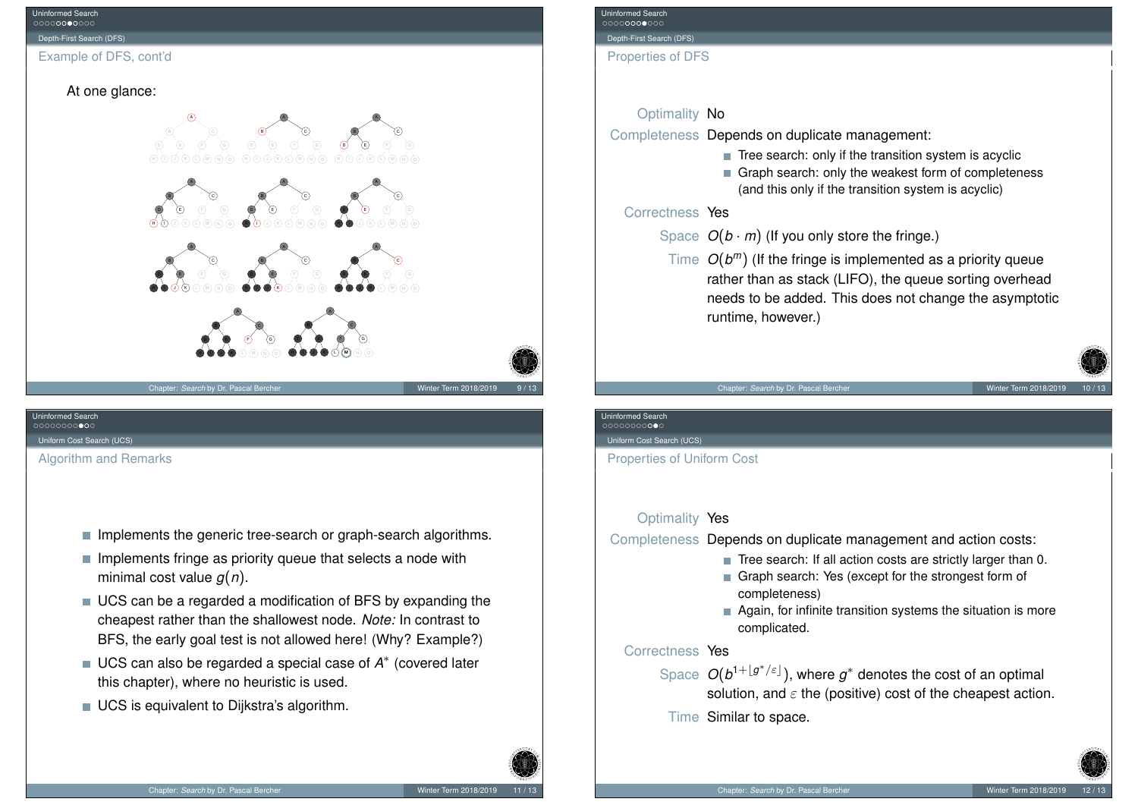

# Uninformed Search

<span id="page-2-0"></span>[Uniform C](#page-0-0)ost Search (UCS)

[Algorithm](#page-1-0) [a](#page-2-0)nd Remarks

- $\blacksquare$  Implements the generic tree-search or graph-search algorithms.
- $\blacksquare$  Implements fringe as priority queue that selects a node with minimal cost value *g*(*n*).
- UCS can be a regarded a modification of BFS by expanding the cheapest rather than the shallowest node. *Note:* In contrast to BFS, the early goal test is not allowed here! (Why? Example?)
- UCS can also be regarded a special case of  $A^*$  (covered later this chapter), where no heuristic is used.
- UCS is equivalent to Dijkstra's algorithm.

| Uninformed Search |  |
|-------------------|--|
| 00000000000       |  |

Depth-First Search (DFS)

Properties of DFS

## Optimality No

Completeness Depends on duplicate management:

- $\blacksquare$  Tree search: only if the transition system is acyclic
- Graph search: only the weakest form of completeness (and this only if the transition system is acyclic)

### Correctness Yes

Space  $O(b \cdot m)$  (If you only store the fringe.)

Time *O*(*b <sup>m</sup>*) (If the fringe is implemented as a priority queue rather than as stack (LIFO), the queue sorting overhead needs to be added. This does not change the asymptotic runtime, however.)

#### Chapter: *Search* by Dr. Pascal Bercher Winter Term 2018/2019

## Uninformed Search

Uniform Cost Search (UCS)

Properties of Uniform Cost

### Optimality Yes

Completeness Depends on duplicate management and action costs:

- $\blacksquare$  Tree search: If all action costs are strictly larger than 0.
- Graph search: Yes (except for the strongest form of completeness)
- Again, for infinite transition systems the situation is more complicated.

### Correctness Yes

- Space  $O(b^{1+\lfloor g^*/\varepsilon \rfloor})$ , where  $g^*$  denotes the cost of an optimal solution, and  $\varepsilon$  the (positive) cost of the cheapest action.
- Time Similar to space.